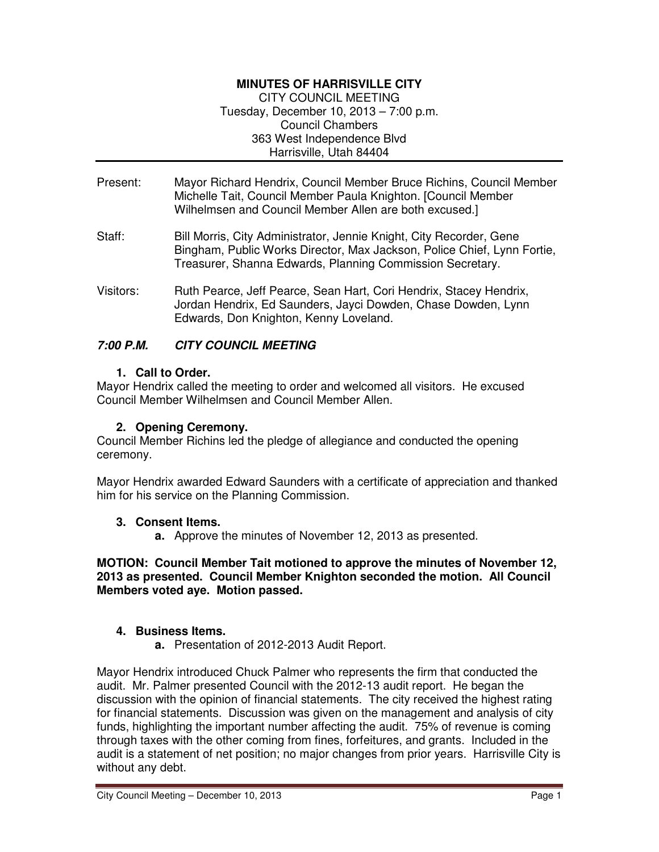# **MINUTES OF HARRISVILLE CITY**

CITY COUNCIL MEETING Tuesday, December 10, 2013 – 7:00 p.m. Council Chambers 363 West Independence Blvd Harrisville, Utah 84404

- Present: Mayor Richard Hendrix, Council Member Bruce Richins, Council Member Michelle Tait, Council Member Paula Knighton. [Council Member Wilhelmsen and Council Member Allen are both excused.]
- Staff: Bill Morris, City Administrator, Jennie Knight, City Recorder, Gene Bingham, Public Works Director, Max Jackson, Police Chief, Lynn Fortie, Treasurer, Shanna Edwards, Planning Commission Secretary.
- Visitors: Ruth Pearce, Jeff Pearce, Sean Hart, Cori Hendrix, Stacey Hendrix, Jordan Hendrix, Ed Saunders, Jayci Dowden, Chase Dowden, Lynn Edwards, Don Knighton, Kenny Loveland.

# **7:00 P.M. CITY COUNCIL MEETING**

## **1. Call to Order.**

Mayor Hendrix called the meeting to order and welcomed all visitors. He excused Council Member Wilhelmsen and Council Member Allen.

## **2. Opening Ceremony.**

Council Member Richins led the pledge of allegiance and conducted the opening ceremony.

Mayor Hendrix awarded Edward Saunders with a certificate of appreciation and thanked him for his service on the Planning Commission.

## **3. Consent Items.**

**a.** Approve the minutes of November 12, 2013 as presented.

### **MOTION: Council Member Tait motioned to approve the minutes of November 12, 2013 as presented. Council Member Knighton seconded the motion. All Council Members voted aye. Motion passed.**

## **4. Business Items.**

**a.** Presentation of 2012-2013 Audit Report.

Mayor Hendrix introduced Chuck Palmer who represents the firm that conducted the audit. Mr. Palmer presented Council with the 2012-13 audit report. He began the discussion with the opinion of financial statements. The city received the highest rating for financial statements. Discussion was given on the management and analysis of city funds, highlighting the important number affecting the audit. 75% of revenue is coming through taxes with the other coming from fines, forfeitures, and grants. Included in the audit is a statement of net position; no major changes from prior years. Harrisville City is without any debt.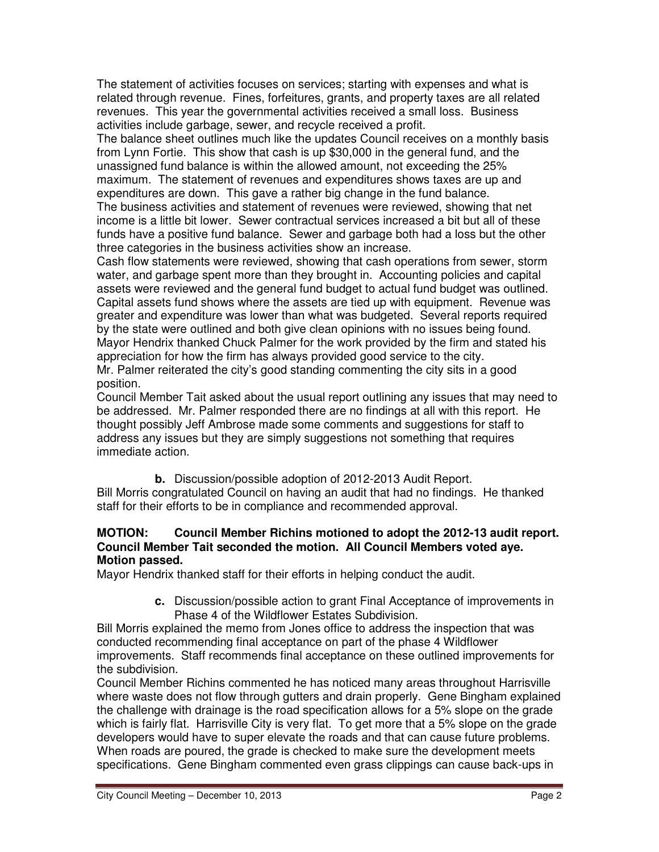The statement of activities focuses on services; starting with expenses and what is related through revenue. Fines, forfeitures, grants, and property taxes are all related revenues. This year the governmental activities received a small loss. Business activities include garbage, sewer, and recycle received a profit.

The balance sheet outlines much like the updates Council receives on a monthly basis from Lynn Fortie. This show that cash is up \$30,000 in the general fund, and the unassigned fund balance is within the allowed amount, not exceeding the 25% maximum. The statement of revenues and expenditures shows taxes are up and expenditures are down. This gave a rather big change in the fund balance. The business activities and statement of revenues were reviewed, showing that net income is a little bit lower. Sewer contractual services increased a bit but all of these funds have a positive fund balance. Sewer and garbage both had a loss but the other three categories in the business activities show an increase.

Cash flow statements were reviewed, showing that cash operations from sewer, storm water, and garbage spent more than they brought in. Accounting policies and capital assets were reviewed and the general fund budget to actual fund budget was outlined. Capital assets fund shows where the assets are tied up with equipment. Revenue was greater and expenditure was lower than what was budgeted. Several reports required by the state were outlined and both give clean opinions with no issues being found. Mayor Hendrix thanked Chuck Palmer for the work provided by the firm and stated his appreciation for how the firm has always provided good service to the city. Mr. Palmer reiterated the city's good standing commenting the city sits in a good position.

Council Member Tait asked about the usual report outlining any issues that may need to be addressed. Mr. Palmer responded there are no findings at all with this report. He thought possibly Jeff Ambrose made some comments and suggestions for staff to address any issues but they are simply suggestions not something that requires immediate action.

**b.** Discussion/possible adoption of 2012-2013 Audit Report. Bill Morris congratulated Council on having an audit that had no findings. He thanked staff for their efforts to be in compliance and recommended approval.

# **MOTION: Council Member Richins motioned to adopt the 2012-13 audit report. Council Member Tait seconded the motion. All Council Members voted aye. Motion passed.**

Mayor Hendrix thanked staff for their efforts in helping conduct the audit.

**c.** Discussion/possible action to grant Final Acceptance of improvements in Phase 4 of the Wildflower Estates Subdivision.

Bill Morris explained the memo from Jones office to address the inspection that was conducted recommending final acceptance on part of the phase 4 Wildflower improvements. Staff recommends final acceptance on these outlined improvements for the subdivision.

Council Member Richins commented he has noticed many areas throughout Harrisville where waste does not flow through gutters and drain properly. Gene Bingham explained the challenge with drainage is the road specification allows for a 5% slope on the grade which is fairly flat. Harrisville City is very flat. To get more that a 5% slope on the grade developers would have to super elevate the roads and that can cause future problems. When roads are poured, the grade is checked to make sure the development meets specifications. Gene Bingham commented even grass clippings can cause back-ups in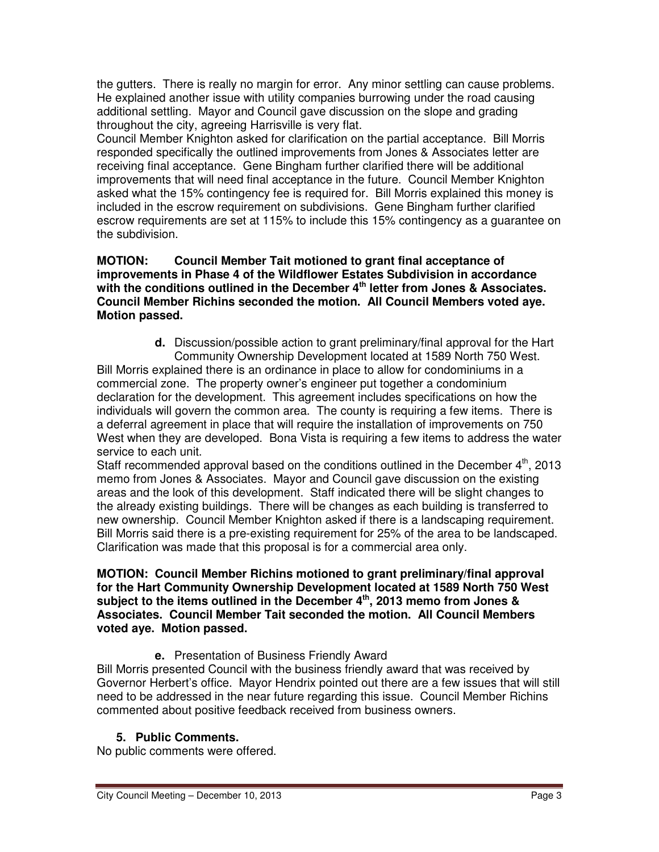the gutters. There is really no margin for error. Any minor settling can cause problems. He explained another issue with utility companies burrowing under the road causing additional settling. Mayor and Council gave discussion on the slope and grading throughout the city, agreeing Harrisville is very flat.

Council Member Knighton asked for clarification on the partial acceptance. Bill Morris responded specifically the outlined improvements from Jones & Associates letter are receiving final acceptance. Gene Bingham further clarified there will be additional improvements that will need final acceptance in the future. Council Member Knighton asked what the 15% contingency fee is required for. Bill Morris explained this money is included in the escrow requirement on subdivisions. Gene Bingham further clarified escrow requirements are set at 115% to include this 15% contingency as a guarantee on the subdivision.

### **MOTION: Council Member Tait motioned to grant final acceptance of improvements in Phase 4 of the Wildflower Estates Subdivision in accordance with the conditions outlined in the December 4th letter from Jones & Associates. Council Member Richins seconded the motion. All Council Members voted aye. Motion passed.**

**d.** Discussion/possible action to grant preliminary/final approval for the Hart Community Ownership Development located at 1589 North 750 West.

Bill Morris explained there is an ordinance in place to allow for condominiums in a commercial zone. The property owner's engineer put together a condominium declaration for the development. This agreement includes specifications on how the individuals will govern the common area. The county is requiring a few items. There is a deferral agreement in place that will require the installation of improvements on 750 West when they are developed. Bona Vista is requiring a few items to address the water service to each unit.

Staff recommended approval based on the conditions outlined in the December  $4<sup>th</sup>$ , 2013 memo from Jones & Associates. Mayor and Council gave discussion on the existing areas and the look of this development. Staff indicated there will be slight changes to the already existing buildings. There will be changes as each building is transferred to new ownership. Council Member Knighton asked if there is a landscaping requirement. Bill Morris said there is a pre-existing requirement for 25% of the area to be landscaped. Clarification was made that this proposal is for a commercial area only.

### **MOTION: Council Member Richins motioned to grant preliminary/final approval for the Hart Community Ownership Development located at 1589 North 750 West subject to the items outlined in the December 4th, 2013 memo from Jones & Associates. Council Member Tait seconded the motion. All Council Members voted aye. Motion passed.**

**e.** Presentation of Business Friendly Award

Bill Morris presented Council with the business friendly award that was received by Governor Herbert's office. Mayor Hendrix pointed out there are a few issues that will still need to be addressed in the near future regarding this issue. Council Member Richins commented about positive feedback received from business owners.

# **5. Public Comments.**

No public comments were offered.